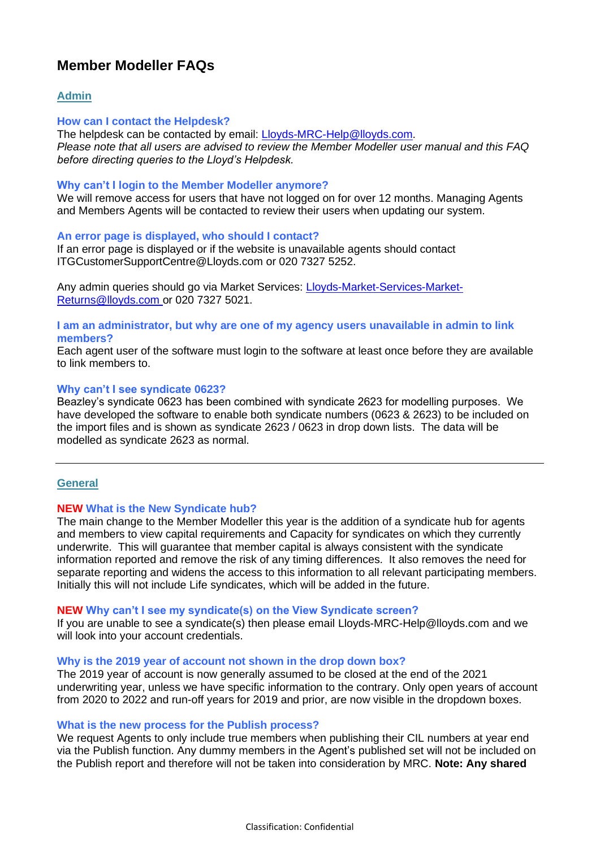# **Member Modeller FAQs**

# **Admin**

## **How can I contact the Helpdesk?**

The helpdesk can be contacted by email: [Lloyds-MRC-Help@lloyds.com.](mailto:Lloyds-MRC-Help@lloyds.com) *Please note that all users are advised to review the Member Modeller user manual and this FAQ before directing queries to the Lloyd's Helpdesk.*

# **Why can't I login to the Member Modeller anymore?**

We will remove access for users that have not logged on for over 12 months. Managing Agents and Members Agents will be contacted to review their users when updating our system.

## **An error page is displayed, who should I contact?**

If an error page is displayed or if the website is unavailable agents should contact [ITGCustomerSupportCentre@Lloyds.com](mailto:ITGCustomerSupportCentre@Lloyds.com) or 020 7327 5252.

Any admin queries should go via Market Services: [Lloyds-Market-Services-Market-](mailto:Lloyds-Market-Services-Market-Returns@lloyds.com)[Returns@lloyds.com](mailto:Lloyds-Market-Services-Market-Returns@lloyds.com) or 020 7327 5021.

## **I am an administrator, but why are one of my agency users unavailable in admin to link members?**

Each agent user of the software must login to the software at least once before they are available to link members to.

## **Why can't I see syndicate 0623?**

Beazley's syndicate 0623 has been combined with syndicate 2623 for modelling purposes. We have developed the software to enable both syndicate numbers (0623 & 2623) to be included on the import files and is shown as syndicate 2623 / 0623 in drop down lists. The data will be modelled as syndicate 2623 as normal.

# **General**

## **NEW What is the New Syndicate hub?**

The main change to the Member Modeller this year is the addition of a syndicate hub for agents and members to view capital requirements and Capacity for syndicates on which they currently underwrite. This will guarantee that member capital is always consistent with the syndicate information reported and remove the risk of any timing differences. It also removes the need for separate reporting and widens the access to this information to all relevant participating members. Initially this will not include Life syndicates, which will be added in the future.

## **NEW Why can't I see my syndicate(s) on the View Syndicate screen?**

If you are unable to see a syndicate(s) then please email [Lloyds-MRC-Help@lloyds.com](mailto:Lloyds-MRC-Help@lloyds.com) and we will look into your account credentials.

## **Why is the 2019 year of account not shown in the drop down box?**

The 2019 year of account is now generally assumed to be closed at the end of the 2021 underwriting year, unless we have specific information to the contrary. Only open years of account from 2020 to 2022 and run-off years for 2019 and prior, are now visible in the dropdown boxes.

## **What is the new process for the Publish process?**

We request Agents to only include true members when publishing their CIL numbers at year end via the Publish function. Any dummy members in the Agent's published set will not be included on the Publish report and therefore will not be taken into consideration by MRC. **Note: Any shared**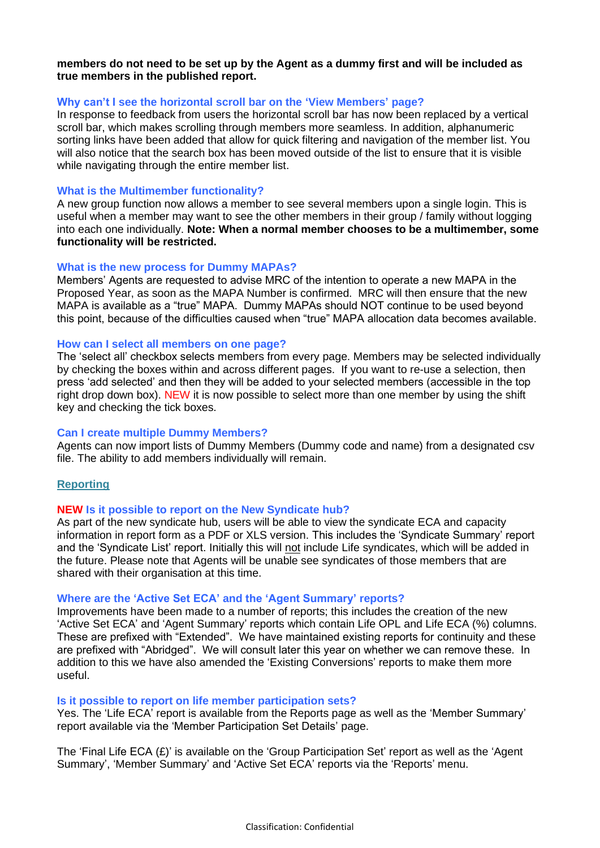## **members do not need to be set up by the Agent as a dummy first and will be included as true members in the published report.**

## **Why can't I see the horizontal scroll bar on the 'View Members' page?**

In response to feedback from users the horizontal scroll bar has now been replaced by a vertical scroll bar, which makes scrolling through members more seamless. In addition, alphanumeric sorting links have been added that allow for quick filtering and navigation of the member list. You will also notice that the search box has been moved outside of the list to ensure that it is visible while navigating through the entire member list.

## **What is the Multimember functionality?**

A new group function now allows a member to see several members upon a single login. This is useful when a member may want to see the other members in their group / family without logging into each one individually. **Note: When a normal member chooses to be a multimember, some functionality will be restricted.**

## **What is the new process for Dummy MAPAs?**

Members' Agents are requested to advise MRC of the intention to operate a new MAPA in the Proposed Year, as soon as the MAPA Number is confirmed. MRC will then ensure that the new MAPA is available as a "true" MAPA. Dummy MAPAs should NOT continue to be used beyond this point, because of the difficulties caused when "true" MAPA allocation data becomes available.

## **How can I select all members on one page?**

The 'select all' checkbox selects members from every page. Members may be selected individually by checking the boxes within and across different pages. If you want to re-use a selection, then press 'add selected' and then they will be added to your selected members (accessible in the top right drop down box). NEW it is now possible to select more than one member by using the shift key and checking the tick boxes.

# **Can I create multiple Dummy Members?**

Agents can now import lists of Dummy Members (Dummy code and name) from a designated csv file. The ability to add members individually will remain.

# **Reporting**

## **NEW Is it possible to report on the New Syndicate hub?**

As part of the new syndicate hub, users will be able to view the syndicate ECA and capacity information in report form as a PDF or XLS version. This includes the 'Syndicate Summary' report and the 'Syndicate List' report. Initially this will not include Life syndicates, which will be added in the future. Please note that Agents will be unable see syndicates of those members that are shared with their organisation at this time.

## **Where are the 'Active Set ECA' and the 'Agent Summary' reports?**

Improvements have been made to a number of reports; this includes the creation of the new 'Active Set ECA' and 'Agent Summary' reports which contain Life OPL and Life ECA (%) columns. These are prefixed with "Extended". We have maintained existing reports for continuity and these are prefixed with "Abridged". We will consult later this year on whether we can remove these. In addition to this we have also amended the 'Existing Conversions' reports to make them more useful.

## **Is it possible to report on life member participation sets?**

Yes. The 'Life ECA' report is available from the Reports page as well as the 'Member Summary' report available via the 'Member Participation Set Details' page.

The 'Final Life ECA  $(E)$ ' is available on the 'Group Participation Set' report as well as the 'Agent Summary', 'Member Summary' and 'Active Set ECA' reports via the 'Reports' menu.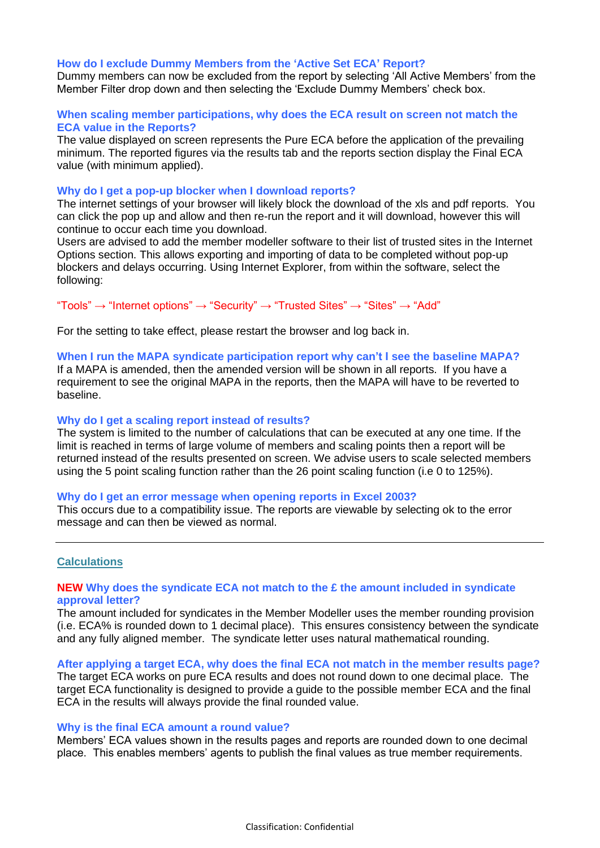#### **How do I exclude Dummy Members from the 'Active Set ECA' Report?**

Dummy members can now be excluded from the report by selecting 'All Active Members' from the Member Filter drop down and then selecting the 'Exclude Dummy Members' check box.

## **When scaling member participations, why does the ECA result on screen not match the ECA value in the Reports?**

The value displayed on screen represents the Pure ECA before the application of the prevailing minimum. The reported figures via the results tab and the reports section display the Final ECA value (with minimum applied).

#### **Why do I get a pop-up blocker when I download reports?**

The internet settings of your browser will likely block the download of the xls and pdf reports. You can click the pop up and allow and then re-run the report and it will download, however this will continue to occur each time you download.

Users are advised to add the member modeller software to their list of trusted sites in the Internet Options section. This allows exporting and importing of data to be completed without pop-up blockers and delays occurring. Using Internet Explorer, from within the software, select the following:

"Tools"  $\rightarrow$  "Internet options"  $\rightarrow$  "Security"  $\rightarrow$  "Trusted Sites"  $\rightarrow$  "Sites"  $\rightarrow$  "Add"

For the setting to take effect, please restart the browser and log back in.

#### **When I run the MAPA syndicate participation report why can't I see the baseline MAPA?**

If a MAPA is amended, then the amended version will be shown in all reports. If you have a requirement to see the original MAPA in the reports, then the MAPA will have to be reverted to baseline.

#### **Why do I get a scaling report instead of results?**

The system is limited to the number of calculations that can be executed at any one time. If the limit is reached in terms of large volume of members and scaling points then a report will be returned instead of the results presented on screen. We advise users to scale selected members using the 5 point scaling function rather than the 26 point scaling function (i.e 0 to 125%).

#### **Why do I get an error message when opening reports in Excel 2003?**

This occurs due to a compatibility issue. The reports are viewable by selecting ok to the error message and can then be viewed as normal.

## **Calculations**

## **NEW Why does the syndicate ECA not match to the £ the amount included in syndicate approval letter?**

The amount included for syndicates in the Member Modeller uses the member rounding provision (i.e. ECA% is rounded down to 1 decimal place). This ensures consistency between the syndicate and any fully aligned member. The syndicate letter uses natural mathematical rounding.

## **After applying a target ECA, why does the final ECA not match in the member results page?**

The target ECA works on pure ECA results and does not round down to one decimal place. The target ECA functionality is designed to provide a guide to the possible member ECA and the final ECA in the results will always provide the final rounded value.

#### **Why is the final ECA amount a round value?**

Members' ECA values shown in the results pages and reports are rounded down to one decimal place. This enables members' agents to publish the final values as true member requirements.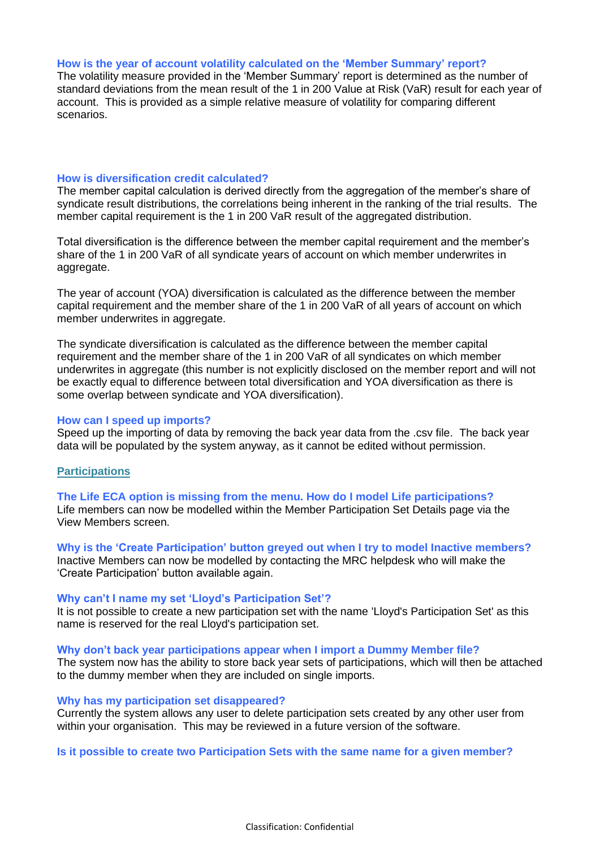## **How is the year of account volatility calculated on the 'Member Summary' report?**

The volatility measure provided in the 'Member Summary' report is determined as the number of standard deviations from the mean result of the 1 in 200 Value at Risk (VaR) result for each year of account. This is provided as a simple relative measure of volatility for comparing different scenarios.

#### **How is diversification credit calculated?**

The member capital calculation is derived directly from the aggregation of the member's share of syndicate result distributions, the correlations being inherent in the ranking of the trial results. The member capital requirement is the 1 in 200 VaR result of the aggregated distribution.

Total diversification is the difference between the member capital requirement and the member's share of the 1 in 200 VaR of all syndicate years of account on which member underwrites in aggregate.

The year of account (YOA) diversification is calculated as the difference between the member capital requirement and the member share of the 1 in 200 VaR of all years of account on which member underwrites in aggregate.

The syndicate diversification is calculated as the difference between the member capital requirement and the member share of the 1 in 200 VaR of all syndicates on which member underwrites in aggregate (this number is not explicitly disclosed on the member report and will not be exactly equal to difference between total diversification and YOA diversification as there is some overlap between syndicate and YOA diversification).

#### **How can I speed up imports?**

Speed up the importing of data by removing the back year data from the .csv file. The back year data will be populated by the system anyway, as it cannot be edited without permission.

## **Participations**

**The Life ECA option is missing from the menu. How do I model Life participations?** Life members can now be modelled within the Member Participation Set Details page via the View Members screen.

**Why is the 'Create Participation' button greyed out when I try to model Inactive members?**  Inactive Members can now be modelled by contacting the MRC helpdesk who will make the 'Create Participation' button available again.

## **Why can't I name my set 'Lloyd's Participation Set'?**

It is not possible to create a new participation set with the name 'Lloyd's Participation Set' as this name is reserved for the real Lloyd's participation set.

**Why don't back year participations appear when I import a Dummy Member file?**

The system now has the ability to store back year sets of participations, which will then be attached to the dummy member when they are included on single imports.

## **Why has my participation set disappeared?**

Currently the system allows any user to delete participation sets created by any other user from within your organisation. This may be reviewed in a future version of the software.

## **Is it possible to create two Participation Sets with the same name for a given member?**